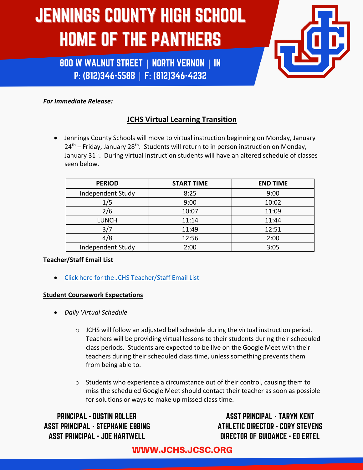800 W WALNUT STREET | NORTH VERNON | IN P: (812)346-5588 | F: (812)346-4232



### *For Immediate Release:*

## **JCHS Virtual Learning Transition**

• Jennings County Schools will move to virtual instruction beginning on Monday, January  $24<sup>th</sup>$  – Friday, January 28<sup>th</sup>. Students will return to in person instruction on Monday, January 31<sup>st</sup>. During virtual instruction students will have an altered schedule of classes seen below.

| <b>PERIOD</b>     | <b>START TIME</b> | <b>END TIME</b> |
|-------------------|-------------------|-----------------|
| Independent Study | 8:25              | 9:00            |
| 1/5               | 9:00              | 10:02           |
| 2/6               | 10:07             | 11:09           |
| <b>LUNCH</b>      | 11:14             | 11:44           |
| 3/7               | 11:49             | 12:51           |
| 4/8               | 12:56             | 2:00            |
| Independent Study | 2:00              | 3:05            |

### **Teacher/Staff Email List**

• Click here for the JCHS Teacher/Staff Email List

### **Student Coursework Expectations**

- *Daily Virtual Schedule*
	- $\circ$  JCHS will follow an adjusted bell schedule during the virtual instruction period. Teachers will be providing virtual lessons to their students during their scheduled class periods. Students are expected to be live on the Google Meet with their teachers during their scheduled class time, unless something prevents them from being able to.
	- $\circ$  Students who experience a circumstance out of their control, causing them to miss the scheduled Google Meet should contact their teacher as soon as possible for solutions or ways to make up missed class time.

**PRINCIPAL - DUSTIN ROLLER ASST PRINCIPAL - STEPHANIE EBBING ASST PRINCIPAL - JOE HARTWELL** 

**ASST PRINCIPAL - TARYN KENT ATHLETIC DIRECTOR - CORY STEVENS DIRECTOR OF GUIDANCE - ED ERTEL**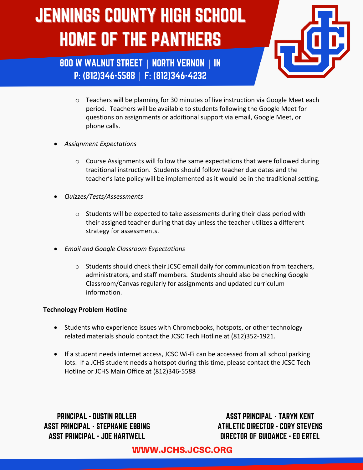

800 W WALNUT STREET | NORTH VERNON | IN P: (812)346-5588 | F: (812)346-4232

- o Teachers will be planning for 30 minutes of live instruction via Google Meet each period. Teachers will be available to students following the Google Meet for questions on assignments or additional support via email, Google Meet, or phone calls.
- *Assignment Expectations*
	- $\circ$  Course Assignments will follow the same expectations that were followed during traditional instruction. Students should follow teacher due dates and the teacher's late policy will be implemented as it would be in the traditional setting.
- *Quizzes/Tests/Assessments*
	- o Students will be expected to take assessments during their class period with their assigned teacher during that day unless the teacher utilizes a different strategy for assessments.
- *Email and Google Classroom Expectations*
	- $\circ$  Students should check their JCSC email daily for communication from teachers, administrators, and staff members. Students should also be checking Google Classroom/Canvas regularly for assignments and updated curriculum information.

#### **Technology Problem Hotline**

- Students who experience issues with Chromebooks, hotspots, or other technology related materials should contact the JCSC Tech Hotline at (812)352-1921.
- If a student needs internet access, JCSC Wi-Fi can be accessed from all school parking lots. If a JCHS student needs a hotspot during this time, please contact the JCSC Tech Hotline or JCHS Main Office at (812)346-5588

**PRINCIPAL - DUSTIN ROLLER ASST PRINCIPAL - STEPHANIE EBBING ASST PRINCIPAL - JOE HARTWELL** 

**ASST PRINCIPAL - TARYN KENT ATHLETIC DIRECTOR - CORY STEVENS DIRECTOR OF GUIDANCE - ED ERTEL**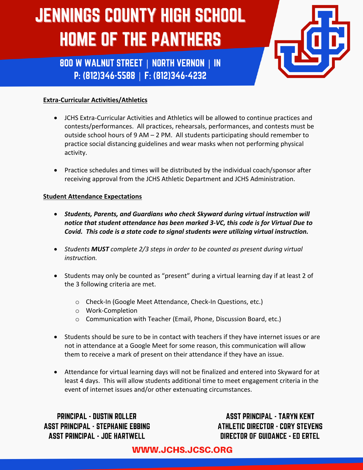800 W WALNUT STREET | NORTH VERNON | IN P: (812)346-5588 | F: (812)346-4232



### **Extra-Curricular Activities/Athletics**

- JCHS Extra-Curricular Activities and Athletics will be allowed to continue practices and contests/performances. All practices, rehearsals, performances, and contests must be outside school hours of 9 AM – 2 PM. All students participating should remember to practice social distancing guidelines and wear masks when not performing physical activity.
- Practice schedules and times will be distributed by the individual coach/sponsor after receiving approval from the JCHS Athletic Department and JCHS Administration.

#### **Student Attendance Expectations**

- *Students, Parents, and Guardians who check Skyward during virtual instruction will notice that student attendance has been marked 3-VC, this code is for Virtual Due to Covid. This code is a state code to signal students were utilizing virtual instruction.*
- *Students MUST complete 2/3 steps in order to be counted as present during virtual instruction.*
- Students may only be counted as "present" during a virtual learning day if at least 2 of the 3 following criteria are met.
	- o Check-In (Google Meet Attendance, Check-In Questions, etc.)
	- o Work-Completion
	- o Communication with Teacher (Email, Phone, Discussion Board, etc.)
- Students should be sure to be in contact with teachers if they have internet issues or are not in attendance at a Google Meet for some reason, this communication will allow them to receive a mark of present on their attendance if they have an issue.
- Attendance for virtual learning days will not be finalized and entered into Skyward for at least 4 days. This will allow students additional time to meet engagement criteria in the event of internet issues and/or other extenuating circumstances.

**PRINCIPAL - DUSTIN ROLLER ASST PRINCIPAL - STEPHANIE EBBING ASST PRINCIPAL - JOE HARTWELL** 

**ASST PRINCIPAL - TARYN KENT ATHLETIC DIRECTOR - CORY STEVENS DIRECTOR OF GUIDANCE - ED ERTEL**